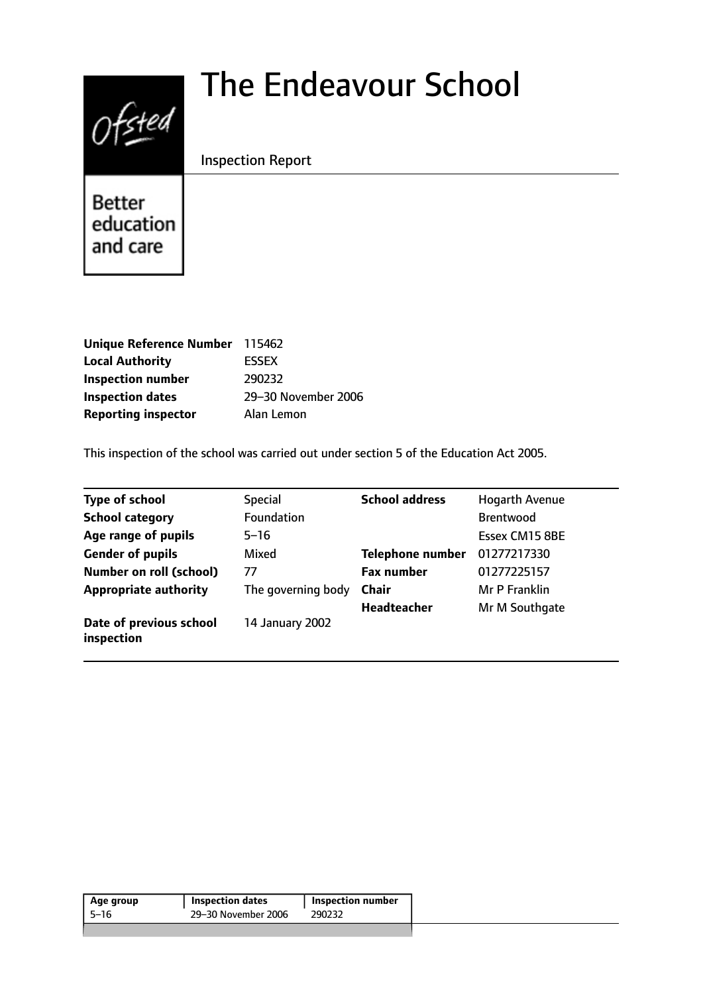# The Endeavour School



Inspection Report

Better education and care

| Unique Reference Number 115462 |                     |
|--------------------------------|---------------------|
| <b>Local Authority</b>         | <b>ESSEX</b>        |
| <b>Inspection number</b>       | 290232              |
| <b>Inspection dates</b>        | 29-30 November 2006 |
| <b>Reporting inspector</b>     | Alan Lemon          |

This inspection of the school was carried out under section 5 of the Education Act 2005.

| <b>Type of school</b>                 | <b>Special</b>     | <b>School address</b>   | <b>Hogarth Avenue</b> |
|---------------------------------------|--------------------|-------------------------|-----------------------|
| <b>School category</b>                | Foundation         |                         | <b>Brentwood</b>      |
| Age range of pupils                   | $5 - 16$           |                         | Essex CM15 8BE        |
| <b>Gender of pupils</b>               | Mixed              | <b>Telephone number</b> | 01277217330           |
| <b>Number on roll (school)</b>        | 77                 | <b>Fax number</b>       | 01277225157           |
| <b>Appropriate authority</b>          | The governing body | <b>Chair</b>            | Mr P Franklin         |
|                                       |                    | <b>Headteacher</b>      | Mr M Southgate        |
| Date of previous school<br>inspection | 14 January 2002    |                         |                       |

| Age group | <b>Inspection dates</b> | <b>Inspection number</b> |
|-----------|-------------------------|--------------------------|
| 5–16      | 29-30 November 2006     | 290232                   |
|           |                         |                          |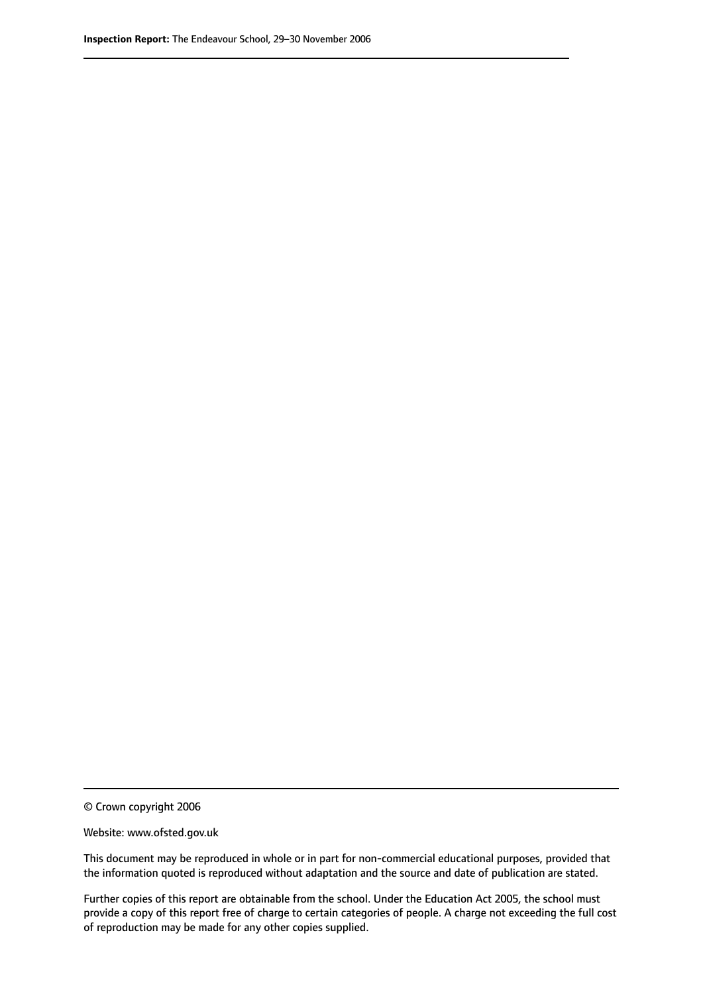© Crown copyright 2006

Website: www.ofsted.gov.uk

This document may be reproduced in whole or in part for non-commercial educational purposes, provided that the information quoted is reproduced without adaptation and the source and date of publication are stated.

Further copies of this report are obtainable from the school. Under the Education Act 2005, the school must provide a copy of this report free of charge to certain categories of people. A charge not exceeding the full cost of reproduction may be made for any other copies supplied.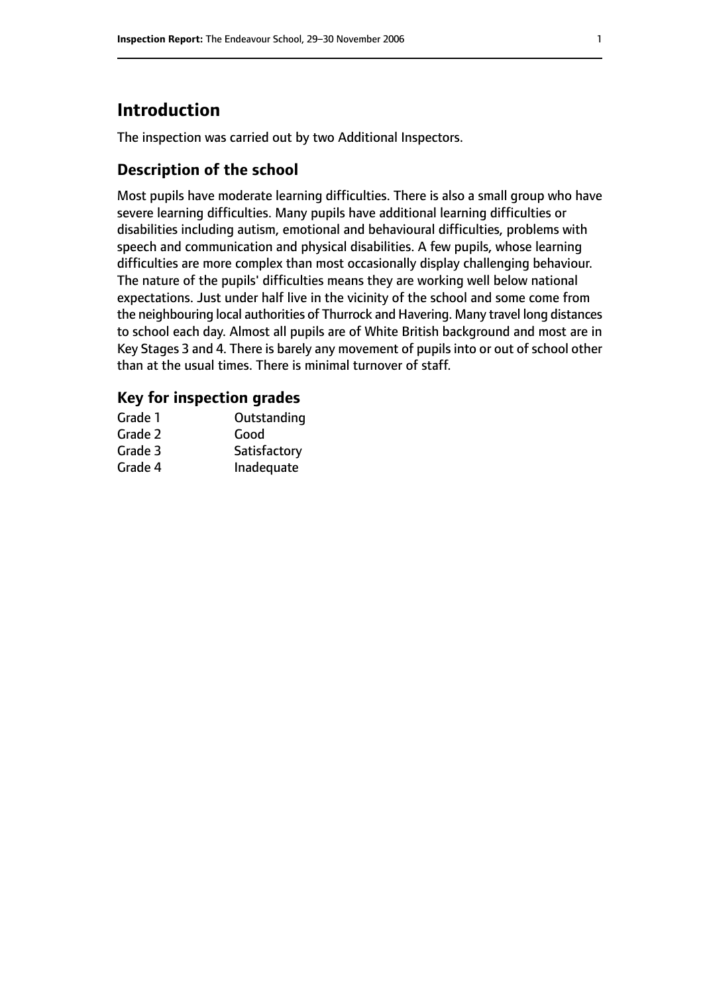# **Introduction**

The inspection was carried out by two Additional Inspectors.

### **Description of the school**

Most pupils have moderate learning difficulties. There is also a small group who have severe learning difficulties. Many pupils have additional learning difficulties or disabilities including autism, emotional and behavioural difficulties, problems with speech and communication and physical disabilities. A few pupils, whose learning difficulties are more complex than most occasionally display challenging behaviour. The nature of the pupils' difficulties means they are working well below national expectations. Just under half live in the vicinity of the school and some come from the neighbouring local authorities of Thurrock and Havering. Many travel long distances to school each day. Almost all pupils are of White British background and most are in Key Stages 3 and 4. There is barely any movement of pupils into or out of school other than at the usual times. There is minimal turnover of staff.

#### **Key for inspection grades**

| Grade 1 | Outstanding  |
|---------|--------------|
| Grade 2 | Good         |
| Grade 3 | Satisfactory |
| Grade 4 | Inadequate   |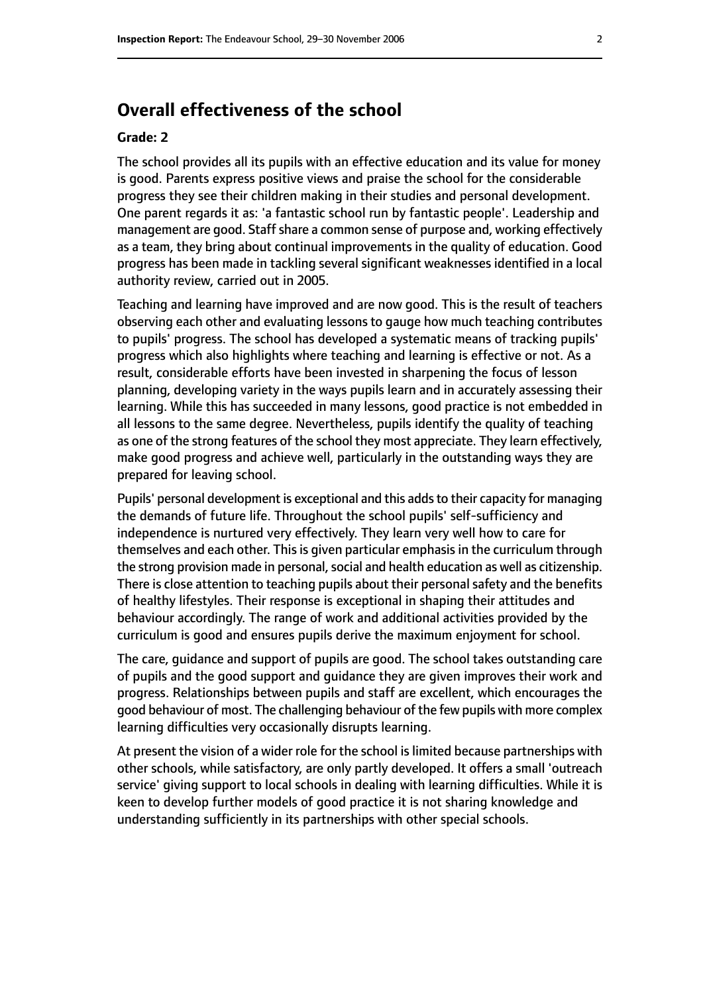## **Overall effectiveness of the school**

#### **Grade: 2**

The school provides all its pupils with an effective education and its value for money is good. Parents express positive views and praise the school for the considerable progress they see their children making in their studies and personal development. One parent regards it as: 'a fantastic school run by fantastic people'. Leadership and management are good. Staff share a common sense of purpose and, working effectively as a team, they bring about continual improvements in the quality of education. Good progress has been made in tackling several significant weaknesses identified in a local authority review, carried out in 2005.

Teaching and learning have improved and are now good. This is the result of teachers observing each other and evaluating lessons to gauge how much teaching contributes to pupils' progress. The school has developed a systematic means of tracking pupils' progress which also highlights where teaching and learning is effective or not. As a result, considerable efforts have been invested in sharpening the focus of lesson planning, developing variety in the ways pupils learn and in accurately assessing their learning. While this has succeeded in many lessons, good practice is not embedded in all lessons to the same degree. Nevertheless, pupils identify the quality of teaching as one of the strong features of the school they most appreciate. They learn effectively, make good progress and achieve well, particularly in the outstanding ways they are prepared for leaving school.

Pupils' personal development is exceptional and this adds to their capacity for managing the demands of future life. Throughout the school pupils' self-sufficiency and independence is nurtured very effectively. They learn very well how to care for themselves and each other. This is given particular emphasis in the curriculum through the strong provision made in personal, social and health education as well as citizenship. There is close attention to teaching pupils about their personal safety and the benefits of healthy lifestyles. Their response is exceptional in shaping their attitudes and behaviour accordingly. The range of work and additional activities provided by the curriculum is good and ensures pupils derive the maximum enjoyment for school.

The care, guidance and support of pupils are good. The school takes outstanding care of pupils and the good support and guidance they are given improves their work and progress. Relationships between pupils and staff are excellent, which encourages the good behaviour of most. The challenging behaviour of the few pupils with more complex learning difficulties very occasionally disrupts learning.

At present the vision of a wider role for the school is limited because partnerships with other schools, while satisfactory, are only partly developed. It offers a small 'outreach service' giving support to local schools in dealing with learning difficulties. While it is keen to develop further models of good practice it is not sharing knowledge and understanding sufficiently in its partnerships with other special schools.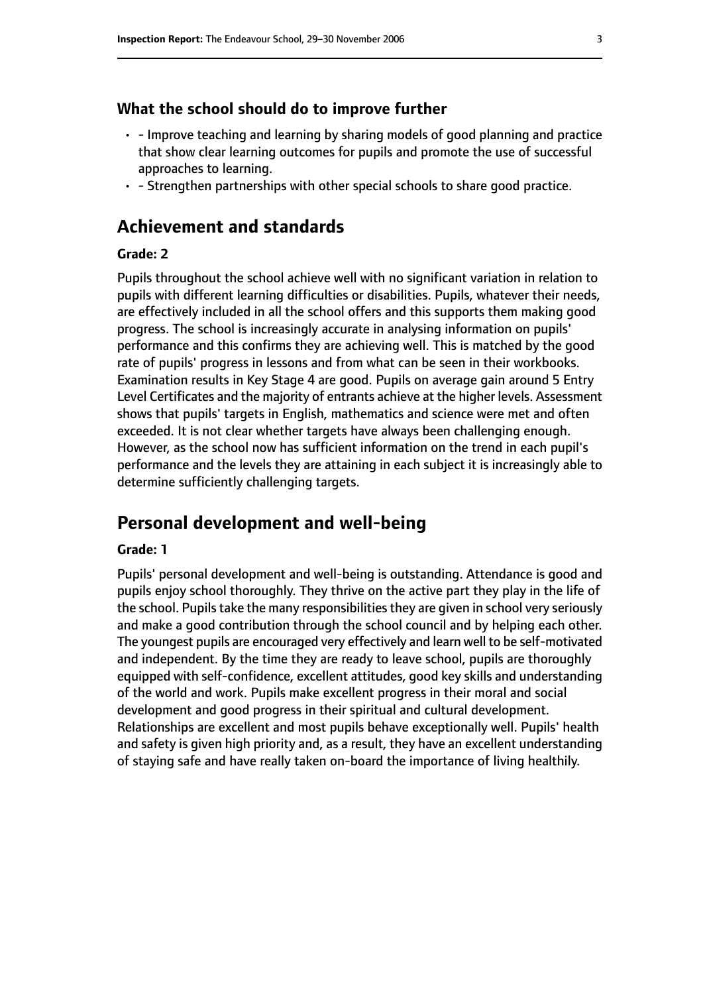#### **What the school should do to improve further**

- - Improve teaching and learning by sharing models of good planning and practice that show clear learning outcomes for pupils and promote the use of successful approaches to learning.
- - Strengthen partnerships with other special schools to share good practice.

# **Achievement and standards**

#### **Grade: 2**

Pupils throughout the school achieve well with no significant variation in relation to pupils with different learning difficulties or disabilities. Pupils, whatever their needs, are effectively included in all the school offers and this supports them making good progress. The school is increasingly accurate in analysing information on pupils' performance and this confirms they are achieving well. This is matched by the good rate of pupils' progress in lessons and from what can be seen in their workbooks. Examination results in Key Stage 4 are good. Pupils on average gain around 5 Entry Level Certificates and the majority of entrants achieve at the higher levels. Assessment shows that pupils' targets in English, mathematics and science were met and often exceeded. It is not clear whether targets have always been challenging enough. However, as the school now has sufficient information on the trend in each pupil's performance and the levels they are attaining in each subject it is increasingly able to determine sufficiently challenging targets.

## **Personal development and well-being**

#### **Grade: 1**

Pupils' personal development and well-being is outstanding. Attendance is good and pupils enjoy school thoroughly. They thrive on the active part they play in the life of the school. Pupils take the many responsibilities they are given in school very seriously and make a good contribution through the school council and by helping each other. The youngest pupils are encouraged very effectively and learn well to be self-motivated and independent. By the time they are ready to leave school, pupils are thoroughly equipped with self-confidence, excellent attitudes, good key skills and understanding of the world and work. Pupils make excellent progress in their moral and social development and good progress in their spiritual and cultural development. Relationships are excellent and most pupils behave exceptionally well. Pupils' health and safety is given high priority and, as a result, they have an excellent understanding of staying safe and have really taken on-board the importance of living healthily.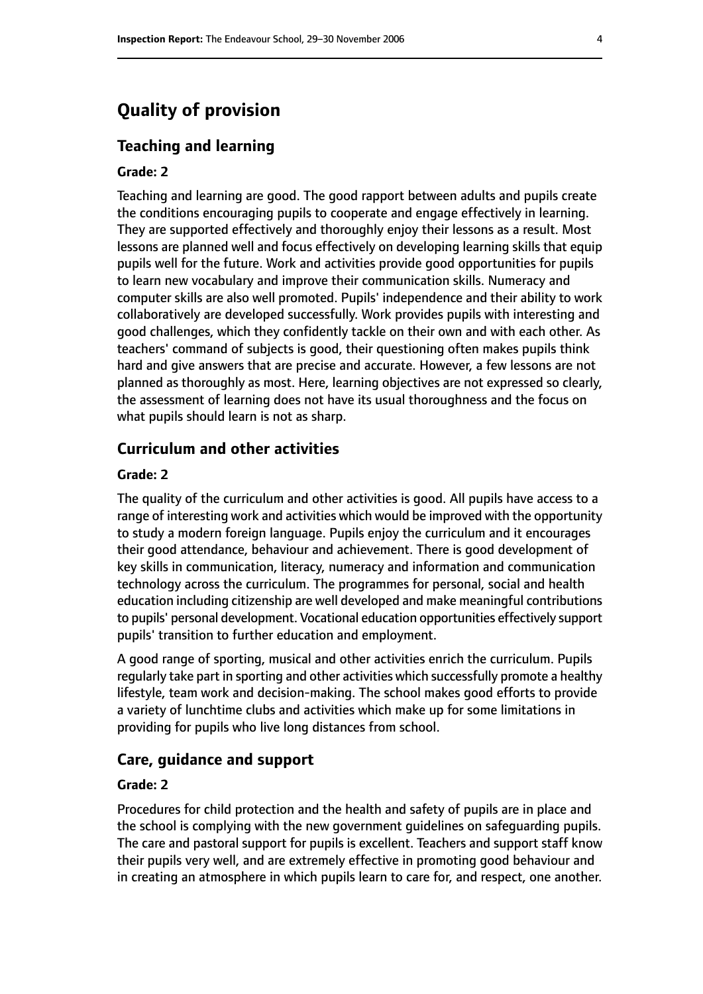# **Quality of provision**

#### **Teaching and learning**

#### **Grade: 2**

Teaching and learning are good. The good rapport between adults and pupils create the conditions encouraging pupils to cooperate and engage effectively in learning. They are supported effectively and thoroughly enjoy their lessons as a result. Most lessons are planned well and focus effectively on developing learning skills that equip pupils well for the future. Work and activities provide good opportunities for pupils to learn new vocabulary and improve their communication skills. Numeracy and computer skills are also well promoted. Pupils' independence and their ability to work collaboratively are developed successfully. Work provides pupils with interesting and good challenges, which they confidently tackle on their own and with each other. As teachers' command of subjects is good, their questioning often makes pupils think hard and give answers that are precise and accurate. However, a few lessons are not planned as thoroughly as most. Here, learning objectives are not expressed so clearly, the assessment of learning does not have its usual thoroughness and the focus on what pupils should learn is not as sharp.

#### **Curriculum and other activities**

#### **Grade: 2**

The quality of the curriculum and other activities is good. All pupils have access to a range of interesting work and activities which would be improved with the opportunity to study a modern foreign language. Pupils enjoy the curriculum and it encourages their good attendance, behaviour and achievement. There is good development of key skills in communication, literacy, numeracy and information and communication technology across the curriculum. The programmes for personal, social and health education including citizenship are well developed and make meaningful contributions to pupils' personal development. Vocational education opportunities effectively support pupils' transition to further education and employment.

A good range of sporting, musical and other activities enrich the curriculum. Pupils regularly take part in sporting and other activities which successfully promote a healthy lifestyle, team work and decision-making. The school makes good efforts to provide a variety of lunchtime clubs and activities which make up for some limitations in providing for pupils who live long distances from school.

#### **Care, guidance and support**

#### **Grade: 2**

Procedures for child protection and the health and safety of pupils are in place and the school is complying with the new government guidelines on safeguarding pupils. The care and pastoral support for pupils is excellent. Teachers and support staff know their pupils very well, and are extremely effective in promoting good behaviour and in creating an atmosphere in which pupils learn to care for, and respect, one another.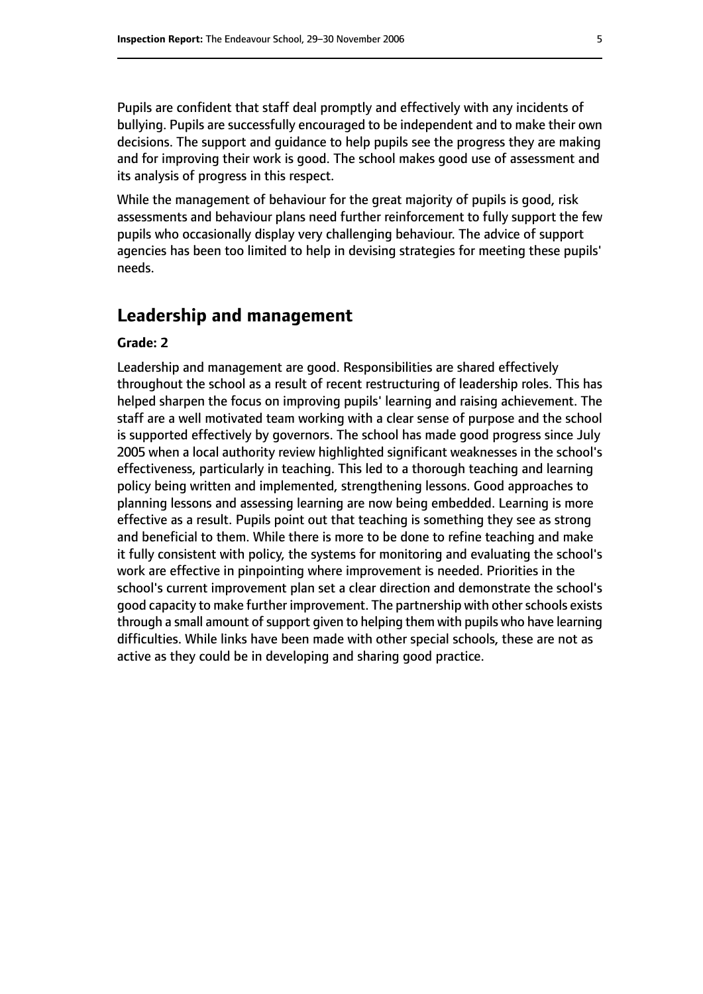Pupils are confident that staff deal promptly and effectively with any incidents of bullying. Pupils are successfully encouraged to be independent and to make their own decisions. The support and guidance to help pupils see the progress they are making and for improving their work is good. The school makes good use of assessment and its analysis of progress in this respect.

While the management of behaviour for the great majority of pupils is good, risk assessments and behaviour plans need further reinforcement to fully support the few pupils who occasionally display very challenging behaviour. The advice of support agencies has been too limited to help in devising strategies for meeting these pupils' needs.

## **Leadership and management**

#### **Grade: 2**

Leadership and management are good. Responsibilities are shared effectively throughout the school as a result of recent restructuring of leadership roles. This has helped sharpen the focus on improving pupils' learning and raising achievement. The staff are a well motivated team working with a clear sense of purpose and the school is supported effectively by governors. The school has made good progress since July 2005 when a local authority review highlighted significant weaknesses in the school's effectiveness, particularly in teaching. This led to a thorough teaching and learning policy being written and implemented, strengthening lessons. Good approaches to planning lessons and assessing learning are now being embedded. Learning is more effective as a result. Pupils point out that teaching is something they see as strong and beneficial to them. While there is more to be done to refine teaching and make it fully consistent with policy, the systems for monitoring and evaluating the school's work are effective in pinpointing where improvement is needed. Priorities in the school's current improvement plan set a clear direction and demonstrate the school's good capacity to make further improvement. The partnership with other schools exists through a small amount of support given to helping them with pupils who have learning difficulties. While links have been made with other special schools, these are not as active as they could be in developing and sharing good practice.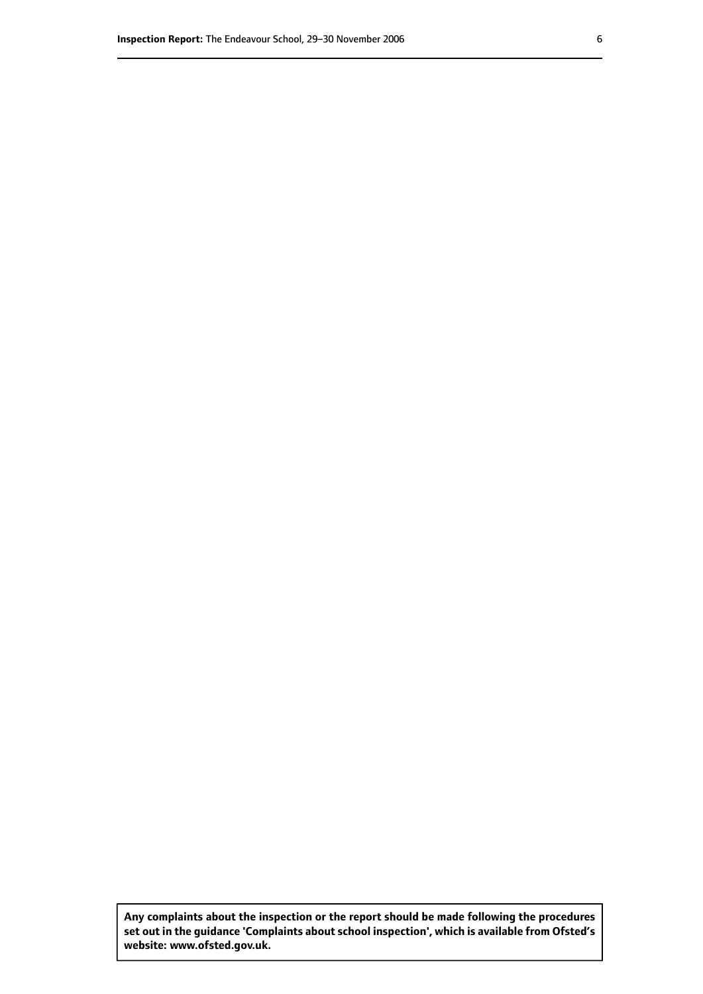**Any complaints about the inspection or the report should be made following the procedures set out inthe guidance 'Complaints about school inspection', whichis available from Ofsted's website: www.ofsted.gov.uk.**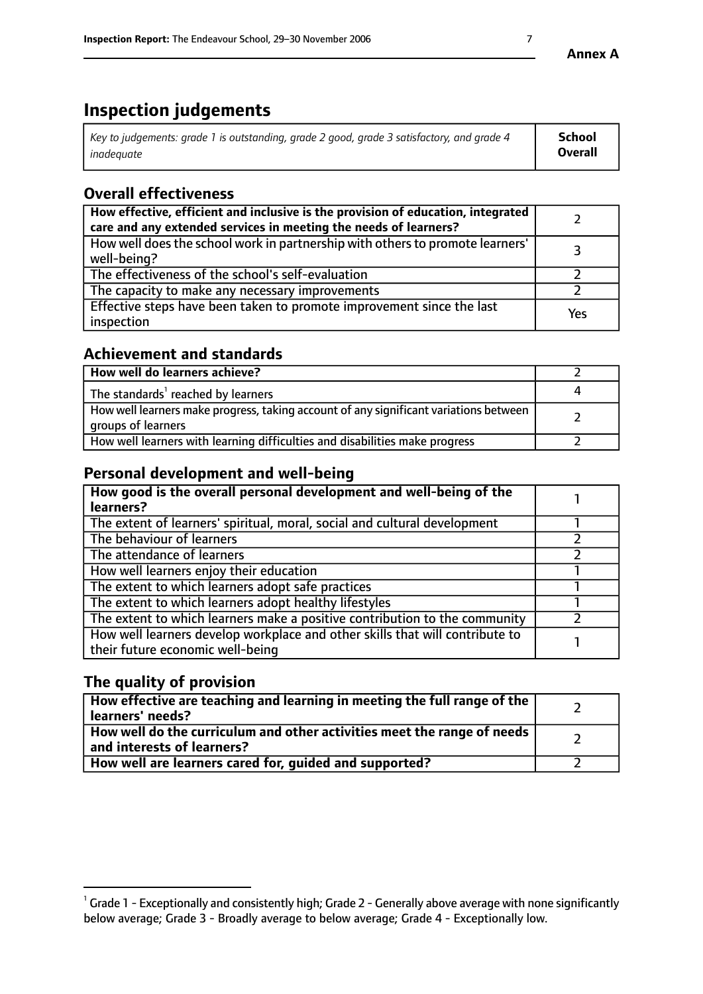# **Inspection judgements**

| $^{\circ}$ Key to judgements: grade 1 is outstanding, grade 2 good, grade 3 satisfactory, and grade 4 $^{\circ}$ | School         |
|------------------------------------------------------------------------------------------------------------------|----------------|
| inadequate                                                                                                       | <b>Overall</b> |

# **Overall effectiveness**

| How effective, efficient and inclusive is the provision of education, integrated<br>care and any extended services in meeting the needs of learners? |     |
|------------------------------------------------------------------------------------------------------------------------------------------------------|-----|
| How well does the school work in partnership with others to promote learners'<br>well-being?                                                         |     |
| The effectiveness of the school's self-evaluation                                                                                                    |     |
| The capacity to make any necessary improvements                                                                                                      |     |
| Effective steps have been taken to promote improvement since the last<br>inspection                                                                  | Yes |

## **Achievement and standards**

| How well do learners achieve?                                                                               |  |
|-------------------------------------------------------------------------------------------------------------|--|
| The standards <sup>1</sup> reached by learners                                                              |  |
| How well learners make progress, taking account of any significant variations between<br>groups of learners |  |
| How well learners with learning difficulties and disabilities make progress                                 |  |

## **Personal development and well-being**

| How good is the overall personal development and well-being of the<br>learners?                                  |  |
|------------------------------------------------------------------------------------------------------------------|--|
| The extent of learners' spiritual, moral, social and cultural development                                        |  |
| The behaviour of learners                                                                                        |  |
| The attendance of learners                                                                                       |  |
| How well learners enjoy their education                                                                          |  |
| The extent to which learners adopt safe practices                                                                |  |
| The extent to which learners adopt healthy lifestyles                                                            |  |
| The extent to which learners make a positive contribution to the community                                       |  |
| How well learners develop workplace and other skills that will contribute to<br>their future economic well-being |  |

# **The quality of provision**

| $\mid$ How effective are teaching and learning in meeting the full range of the $\mid$<br>learners' needs? |  |
|------------------------------------------------------------------------------------------------------------|--|
| How well do the curriculum and other activities meet the range of needs<br>and interests of learners?      |  |
| How well are learners cared for, guided and supported?                                                     |  |

 $^1$  Grade 1 - Exceptionally and consistently high; Grade 2 - Generally above average with none significantly below average; Grade 3 - Broadly average to below average; Grade 4 - Exceptionally low.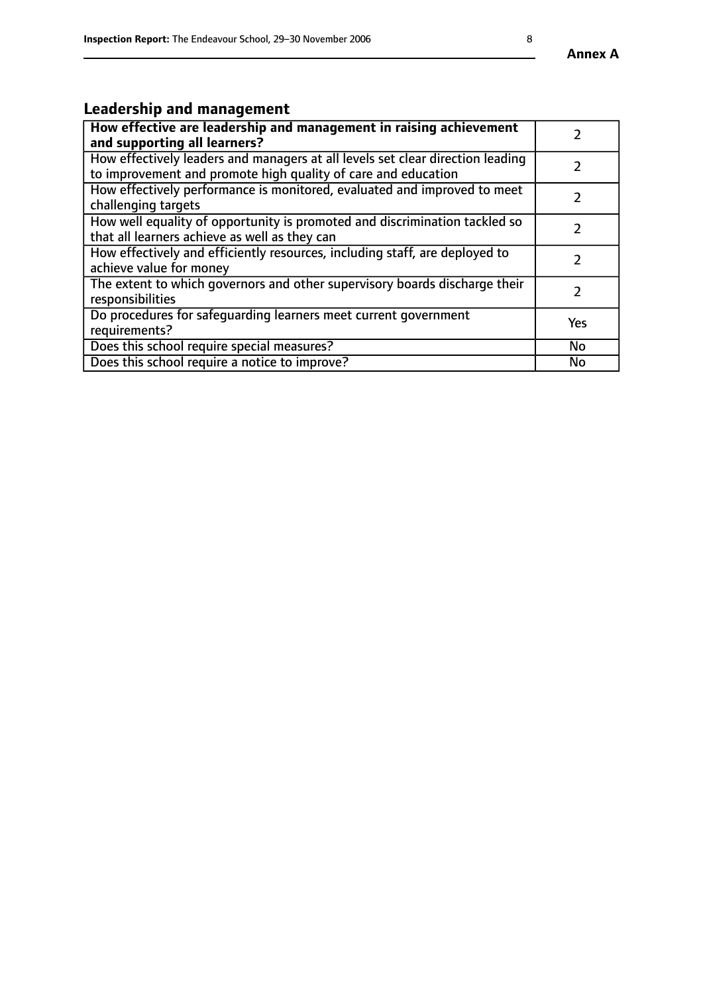# **Leadership and management**

| How effective are leadership and management in raising achievement<br>and supporting all learners?                                              |               |
|-------------------------------------------------------------------------------------------------------------------------------------------------|---------------|
| How effectively leaders and managers at all levels set clear direction leading<br>to improvement and promote high quality of care and education |               |
| How effectively performance is monitored, evaluated and improved to meet<br>challenging targets                                                 | $\mathcal{L}$ |
| How well equality of opportunity is promoted and discrimination tackled so<br>that all learners achieve as well as they can                     |               |
| How effectively and efficiently resources, including staff, are deployed to<br>achieve value for money                                          |               |
| The extent to which governors and other supervisory boards discharge their<br>responsibilities                                                  |               |
| Do procedures for safequarding learners meet current government<br>requirements?                                                                | Yes           |
| Does this school require special measures?                                                                                                      | No            |
| Does this school require a notice to improve?                                                                                                   | <b>No</b>     |